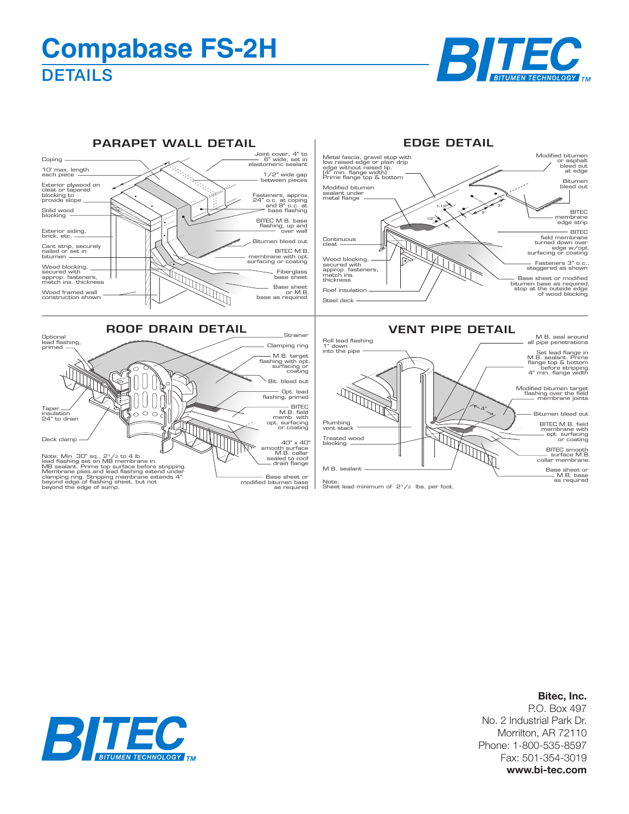## **DETAILS Compabase FS-2H**





## **Bitec, Inc.**

P.O. Box 497 No. 2 Industrial Park Dr. Morrilton, AR 72110 Phone: 1-800-535-8597 Fax: 501-354-3019 **www.bi-tec.com**